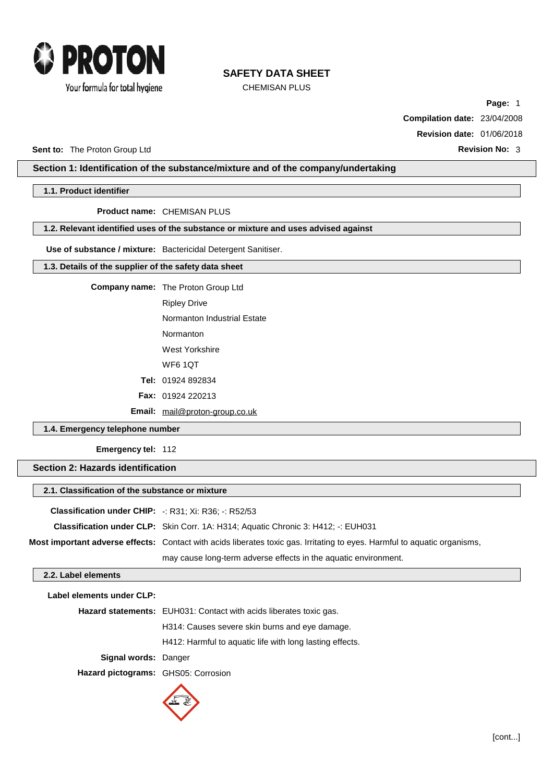

CHEMISAN PLUS

**Page:** 1 **Compilation date:** 23/04/2008

**Revision date:** 01/06/2018

**Sent to:** The Proton Group Ltd **Revision No:** 3

## **Section 1: Identification of the substance/mixture and of the company/undertaking**

**1.1. Product identifier**

**Product name:** CHEMISAN PLUS

### **1.2. Relevant identified uses of the substance or mixture and uses advised against**

**Use of substance / mixture:** Bactericidal Detergent Sanitiser.

### **1.3. Details of the supplier of the safety data sheet**

**Company name:** The Proton Group Ltd

Ripley Drive

Normanton Industrial Estate

Normanton

West Yorkshire

WF6 1QT

**Tel:** 01924 892834

**Fax:** 01924 220213

**Email:** [mail@proton-group.co.uk](mailto:mail@proton-group.co.uk)

**1.4. Emergency telephone number**

**Emergency tel:** 112

**Section 2: Hazards identification**

|                                                                    | 2.1. Classification of the substance or mixture                                          |  |  |  |  |
|--------------------------------------------------------------------|------------------------------------------------------------------------------------------|--|--|--|--|
| <b>Classification under CHIP:</b> $-$ : R31; Xi: R36; $-$ : R52/53 |                                                                                          |  |  |  |  |
|                                                                    | <b>Classification under CLP:</b> Skin Corr. 1A: H314; Aguatic Chronic 3: H412; -: EUH031 |  |  |  |  |

**Most important adverse effects:** Contact with acids liberates toxic gas. Irritating to eyes. Harmful to aquatic organisms, may cause long-term adverse effects in the aquatic environment.

### **2.2. Label elements**

| Label elements under CLP:           |                                                                    |  |  |
|-------------------------------------|--------------------------------------------------------------------|--|--|
|                                     | Hazard statements: EUH031: Contact with acids liberates toxic gas. |  |  |
|                                     | H314: Causes severe skin burns and eye damage.                     |  |  |
|                                     | H412: Harmful to aquatic life with long lasting effects.           |  |  |
| <b>Signal words: Danger</b>         |                                                                    |  |  |
| Hazard pictograms: GHS05: Corrosion |                                                                    |  |  |
|                                     |                                                                    |  |  |

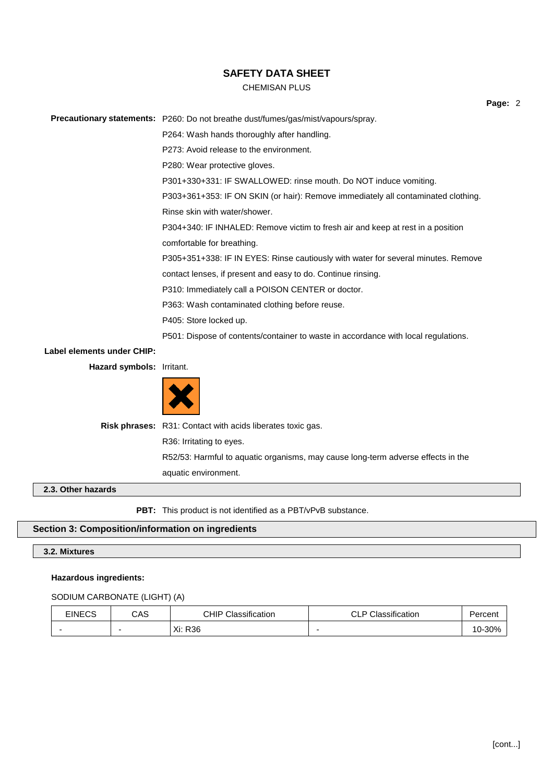### CHEMISAN PLUS

**Page:** 2

**Precautionary statements:** P260: Do not breathe dust/fumes/gas/mist/vapours/spray.

P264: Wash hands thoroughly after handling.

P273: Avoid release to the environment.

P280: Wear protective gloves.

P301+330+331: IF SWALLOWED: rinse mouth. Do NOT induce vomiting.

P303+361+353: IF ON SKIN (or hair): Remove immediately all contaminated clothing.

Rinse skin with water/shower.

P304+340: IF INHALED: Remove victim to fresh air and keep at rest in a position comfortable for breathing.

P305+351+338: IF IN EYES: Rinse cautiously with water for several minutes. Remove

contact lenses, if present and easy to do. Continue rinsing.

P310: Immediately call a POISON CENTER or doctor.

P363: Wash contaminated clothing before reuse.

P405: Store locked up.

P501: Dispose of contents/container to waste in accordance with local regulations.

**Label elements under CHIP:**

**Hazard symbols:** Irritant.



**Risk phrases:** R31: Contact with acids liberates toxic gas. R36: Irritating to eyes. R52/53: Harmful to aquatic organisms, may cause long-term adverse effects in the aquatic environment.

### **2.3. Other hazards**

**PBT:** This product is not identified as a PBT/vPvB substance.

### **Section 3: Composition/information on ingredients**

### **3.2. Mixtures**

#### **Hazardous ingredients:**

#### SODIUM CARBONATE (LIGHT) (A)

| <b>EINECS</b> | CAS | CHIP<br>Classification | Classification<br>$\sim$ $\sim$<br>◡∟ा | Percent          |
|---------------|-----|------------------------|----------------------------------------|------------------|
|               |     | R <sub>36</sub><br>Xi: | -                                      | $-30%$<br>$10-x$ |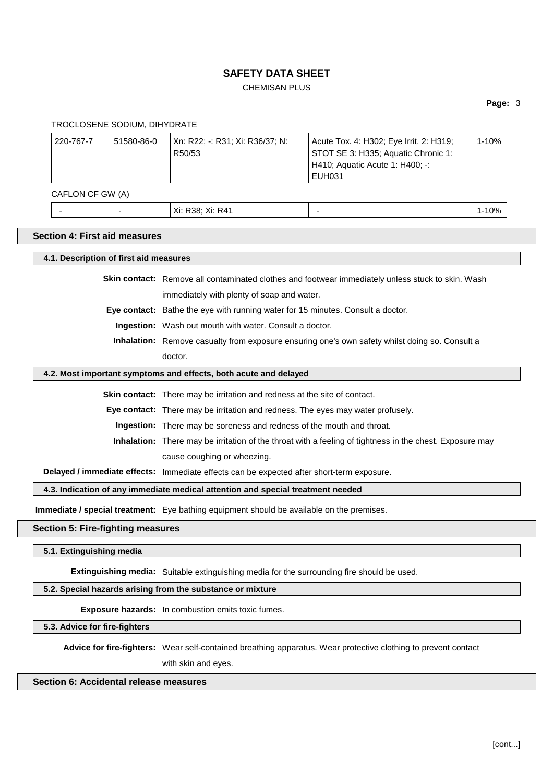# CHEMISAN PLUS

### **Page:** 3

TROCLOSENE SODIUM, DIHYDRATE

| 220-767-7 | 51580-86-0 | Xn: R22: -: R31: Xi: R36/37: N: | Acute Tox. 4: H302; Eye Irrit. 2: H319; | $1 - 10%$ |
|-----------|------------|---------------------------------|-----------------------------------------|-----------|
|           |            | R50/53                          | STOT SE 3: H335; Aquatic Chronic 1:     |           |
|           |            |                                 | H410; Aquatic Acute 1: H400; -:         |           |
|           |            |                                 | EUH031                                  |           |

CAFLON CF GW (A)

|  | Xi: R41<br>$\vee$ :<br>R38:<br>ΛI.<br>AI. | $0\%$ |
|--|-------------------------------------------|-------|
|  |                                           |       |

### **Section 4: First aid measures**

| 4.1. Description of first aid measures                                                                          |                                                                                                          |  |  |  |
|-----------------------------------------------------------------------------------------------------------------|----------------------------------------------------------------------------------------------------------|--|--|--|
|                                                                                                                 | <b>Skin contact:</b> Remove all contaminated clothes and footwear immediately unless stuck to skin. Wash |  |  |  |
| immediately with plenty of soap and water.                                                                      |                                                                                                          |  |  |  |
|                                                                                                                 | Eye contact: Bathe the eye with running water for 15 minutes. Consult a doctor.                          |  |  |  |
|                                                                                                                 | <b>Ingestion:</b> Wash out mouth with water. Consult a doctor.                                           |  |  |  |
|                                                                                                                 | <b>Inhalation:</b> Remove casualty from exposure ensuring one's own safety whilst doing so. Consult a    |  |  |  |
|                                                                                                                 | doctor.                                                                                                  |  |  |  |
|                                                                                                                 | 4.2. Most important symptoms and effects, both acute and delayed                                         |  |  |  |
|                                                                                                                 | Skin contact: There may be irritation and redness at the site of contact.                                |  |  |  |
| <b>Eye contact:</b> There may be irritation and redness. The eyes may water profusely.                          |                                                                                                          |  |  |  |
| Ingestion: There may be soreness and redness of the mouth and throat.                                           |                                                                                                          |  |  |  |
| <b>Inhalation:</b> There may be irritation of the throat with a feeling of tightness in the chest. Exposure may |                                                                                                          |  |  |  |
|                                                                                                                 | cause coughing or wheezing.                                                                              |  |  |  |
|                                                                                                                 | Delayed / immediate effects: Immediate effects can be expected after short-term exposure.                |  |  |  |
| 4.3. Indication of any immediate medical attention and special treatment needed                                 |                                                                                                          |  |  |  |
|                                                                                                                 | <b>Immediate / special treatment:</b> Eye bathing equipment should be available on the premises.         |  |  |  |
| <b>Section 5: Fire-fighting measures</b>                                                                        |                                                                                                          |  |  |  |
| 5.1. Extinguishing media                                                                                        |                                                                                                          |  |  |  |
|                                                                                                                 | <b>Extinguishing media:</b> Suitable extinguishing media for the surrounding fire should be used.        |  |  |  |

**5.2. Special hazards arising from the substance or mixture**

**Exposure hazards:** In combustion emits toxic fumes.

**5.3. Advice for fire-fighters**

**Advice for fire-fighters:** Wear self-contained breathing apparatus. Wear protective clothing to prevent contact

with skin and eyes.

## **Section 6: Accidental release measures**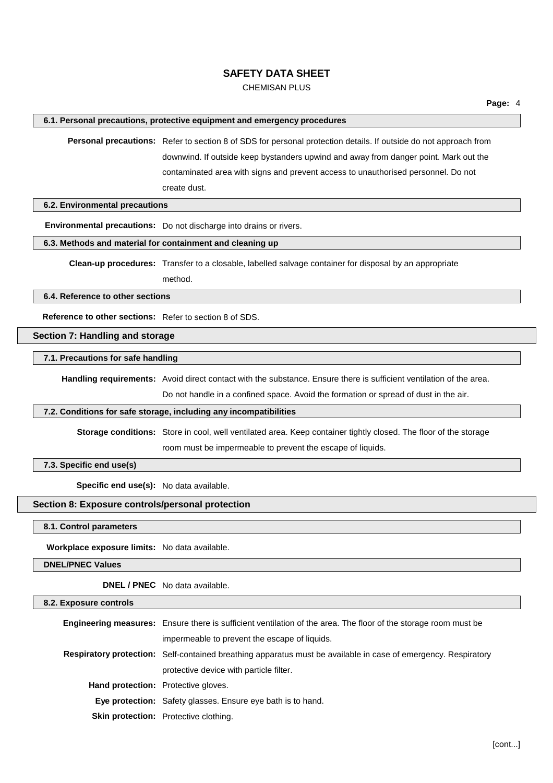## CHEMISAN PLUS

#### **6.1. Personal precautions, protective equipment and emergency procedures**

**Personal precautions:** Refer to section 8 of SDS for personal protection details. If outside do not approach from downwind. If outside keep bystanders upwind and away from danger point. Mark out the contaminated area with signs and prevent access to unauthorised personnel. Do not create dust.

**6.2. Environmental precautions**

**Environmental precautions:** Do not discharge into drains or rivers.

**6.3. Methods and material for containment and cleaning up**

**Clean-up procedures:** Transfer to a closable, labelled salvage container for disposal by an appropriate

method.

**6.4. Reference to other sections**

**Reference to other sections:** Refer to section 8 of SDS.

**Section 7: Handling and storage**

**7.1. Precautions for safe handling**

**Handling requirements:** Avoid direct contact with the substance. Ensure there is sufficient ventilation of the area.

Do not handle in a confined space. Avoid the formation or spread of dust in the air.

### **7.2. Conditions for safe storage, including any incompatibilities**

**Storage conditions:** Store in cool, well ventilated area. Keep container tightly closed. The floor of the storage room must be impermeable to prevent the escape of liquids.

**7.3. Specific end use(s)**

**Specific end use(s):** No data available.

**Section 8: Exposure controls/personal protection**

**8.1. Control parameters**

**Workplace exposure limits:** No data available.

**DNEL/PNEC Values**

**DNEL / PNEC** No data available.

| 8.2. Exposure controls |                                                                                                                        |  |  |  |
|------------------------|------------------------------------------------------------------------------------------------------------------------|--|--|--|
|                        | <b>Engineering measures:</b> Ensure there is sufficient ventilation of the area. The floor of the storage room must be |  |  |  |
|                        | impermeable to prevent the escape of liquids.                                                                          |  |  |  |
|                        | <b>Respiratory protection:</b> Self-contained breathing apparatus must be available in case of emergency. Respiratory  |  |  |  |
|                        | protective device with particle filter.                                                                                |  |  |  |
|                        | <b>Hand protection:</b> Protective gloves.                                                                             |  |  |  |
|                        | <b>Eye protection:</b> Safety glasses. Ensure eye bath is to hand.                                                     |  |  |  |
|                        | <b>Skin protection:</b> Protective clothing.                                                                           |  |  |  |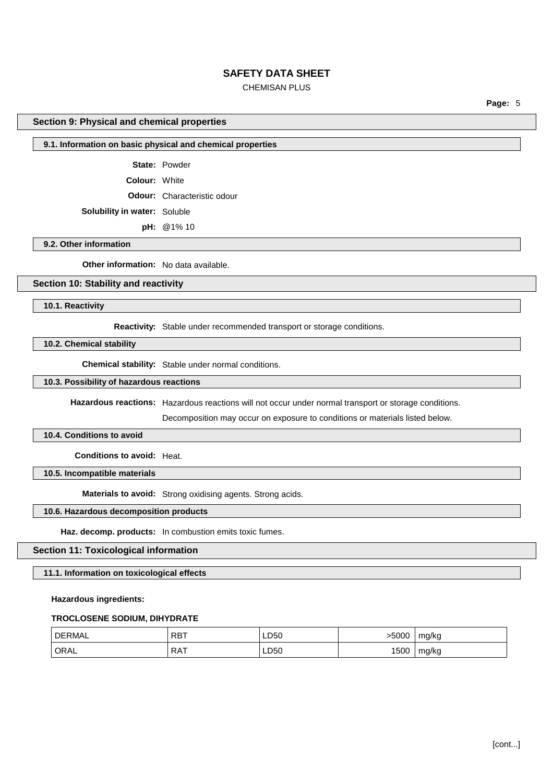## CHEMISAN PLUS

**Page:** 5

#### **Section 9: Physical and chemical properties**

### **9.1. Information on basic physical and chemical properties**

**State:** Powder

**Colour:** White

**Odour:** Characteristic odour

**Solubility in water:** Soluble

**pH:** @1% 10

#### **9.2. Other information**

**Other information:** No data available.

## **Section 10: Stability and reactivity**

**10.1. Reactivity**

**Reactivity:** Stable under recommended transport or storage conditions.

#### **10.2. Chemical stability**

**Chemical stability:** Stable under normal conditions.

## **10.3. Possibility of hazardous reactions**

**Hazardous reactions:** Hazardous reactions will not occur under normal transport or storage conditions.

Decomposition may occur on exposure to conditions or materials listed below.

#### **10.4. Conditions to avoid**

**Conditions to avoid:** Heat.

**10.5. Incompatible materials**

**Materials to avoid:** Strong oxidising agents. Strong acids.

### **10.6. Hazardous decomposition products**

**Haz. decomp. products:** In combustion emits toxic fumes.

#### **Section 11: Toxicological information**

#### **11.1. Information on toxicological effects**

#### **Hazardous ingredients:**

#### **TROCLOSENE SODIUM, DIHYDRATE**

| <b>DERMAL</b> | <b>RBT</b> | LD50 | -5000 | mg/kg |
|---------------|------------|------|-------|-------|
| ORAL          | <b>RAT</b> | LD50 | 1500  | mg/kg |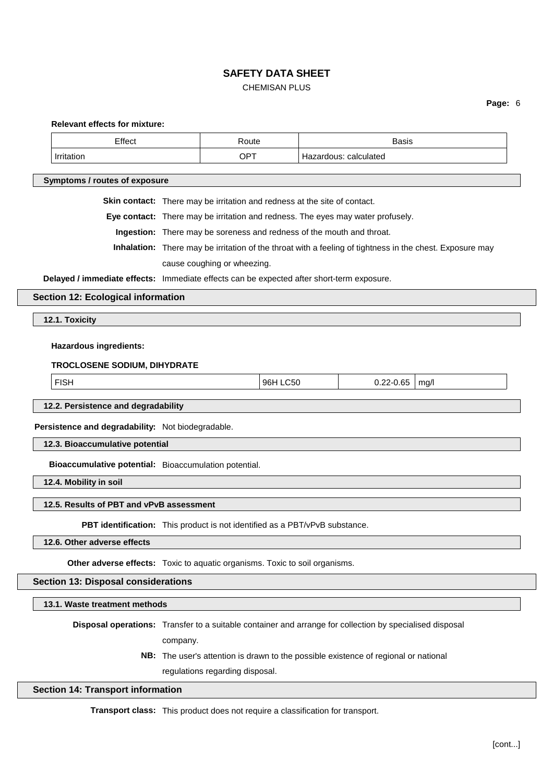## CHEMISAN PLUS

# **Page:** 6

| <b>Relevant effects for mixture:</b>                                                                     |                                          |                                                                                                          |          |                       |                                                                                     |      |  |
|----------------------------------------------------------------------------------------------------------|------------------------------------------|----------------------------------------------------------------------------------------------------------|----------|-----------------------|-------------------------------------------------------------------------------------|------|--|
| Effect                                                                                                   |                                          | Route                                                                                                    |          |                       | Basis                                                                               |      |  |
| Irritation                                                                                               |                                          | OPT                                                                                                      |          | Hazardous: calculated |                                                                                     |      |  |
| Symptoms / routes of exposure                                                                            |                                          |                                                                                                          |          |                       |                                                                                     |      |  |
|                                                                                                          |                                          |                                                                                                          |          |                       |                                                                                     |      |  |
|                                                                                                          |                                          | Skin contact: There may be irritation and redness at the site of contact.                                |          |                       |                                                                                     |      |  |
|                                                                                                          |                                          | Eye contact: There may be irritation and redness. The eyes may water profusely.                          |          |                       |                                                                                     |      |  |
|                                                                                                          |                                          | Ingestion: There may be soreness and redness of the mouth and throat.                                    |          |                       |                                                                                     |      |  |
|                                                                                                          |                                          | Inhalation: There may be irritation of the throat with a feeling of tightness in the chest. Exposure may |          |                       |                                                                                     |      |  |
|                                                                                                          |                                          | cause coughing or wheezing.                                                                              |          |                       |                                                                                     |      |  |
| Delayed / immediate effects: Immediate effects can be expected after short-term exposure.                |                                          |                                                                                                          |          |                       |                                                                                     |      |  |
| <b>Section 12: Ecological information</b>                                                                |                                          |                                                                                                          |          |                       |                                                                                     |      |  |
| 12.1. Toxicity                                                                                           |                                          |                                                                                                          |          |                       |                                                                                     |      |  |
|                                                                                                          |                                          |                                                                                                          |          |                       |                                                                                     |      |  |
| <b>Hazardous ingredients:</b>                                                                            |                                          |                                                                                                          |          |                       |                                                                                     |      |  |
| TROCLOSENE SODIUM, DIHYDRATE                                                                             |                                          |                                                                                                          |          |                       |                                                                                     |      |  |
| <b>FISH</b>                                                                                              |                                          |                                                                                                          | 96H LC50 |                       | $0.22 - 0.65$                                                                       | mg/l |  |
|                                                                                                          |                                          |                                                                                                          |          |                       |                                                                                     |      |  |
|                                                                                                          | 12.2. Persistence and degradability      |                                                                                                          |          |                       |                                                                                     |      |  |
| Persistence and degradability: Not biodegradable.                                                        |                                          |                                                                                                          |          |                       |                                                                                     |      |  |
| 12.3. Bioaccumulative potential                                                                          |                                          |                                                                                                          |          |                       |                                                                                     |      |  |
| Bioaccumulative potential: Bioaccumulation potential.                                                    |                                          |                                                                                                          |          |                       |                                                                                     |      |  |
| 12.4. Mobility in soil                                                                                   |                                          |                                                                                                          |          |                       |                                                                                     |      |  |
| 12.5. Results of PBT and vPvB assessment                                                                 |                                          |                                                                                                          |          |                       |                                                                                     |      |  |
| PBT identification: This product is not identified as a PBT/vPvB substance.                              |                                          |                                                                                                          |          |                       |                                                                                     |      |  |
| 12.6. Other adverse effects                                                                              |                                          |                                                                                                          |          |                       |                                                                                     |      |  |
|                                                                                                          |                                          |                                                                                                          |          |                       |                                                                                     |      |  |
| Other adverse effects: Toxic to aquatic organisms. Toxic to soil organisms.                              |                                          |                                                                                                          |          |                       |                                                                                     |      |  |
| <b>Section 13: Disposal considerations</b>                                                               |                                          |                                                                                                          |          |                       |                                                                                     |      |  |
| 13.1. Waste treatment methods                                                                            |                                          |                                                                                                          |          |                       |                                                                                     |      |  |
| Disposal operations: Transfer to a suitable container and arrange for collection by specialised disposal |                                          |                                                                                                          |          |                       |                                                                                     |      |  |
|                                                                                                          | company.                                 |                                                                                                          |          |                       |                                                                                     |      |  |
|                                                                                                          |                                          |                                                                                                          |          |                       | NB: The user's attention is drawn to the possible existence of regional or national |      |  |
|                                                                                                          | regulations regarding disposal.          |                                                                                                          |          |                       |                                                                                     |      |  |
|                                                                                                          | <b>Section 14: Transport information</b> |                                                                                                          |          |                       |                                                                                     |      |  |
|                                                                                                          |                                          |                                                                                                          |          |                       |                                                                                     |      |  |

**Transport class:** This product does not require a classification for transport.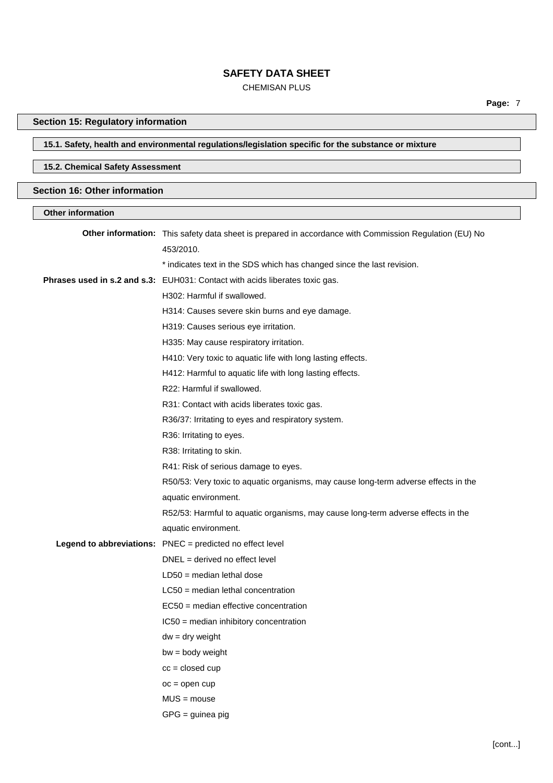## CHEMISAN PLUS

# **Section 15: Regulatory information**

# **15.1. Safety, health and environmental regulations/legislation specific for the substance or mixture**

## **15.2. Chemical Safety Assessment**

### **Section 16: Other information**

| <b>Other information</b> |                                                                                                        |
|--------------------------|--------------------------------------------------------------------------------------------------------|
|                          | Other information: This safety data sheet is prepared in accordance with Commission Regulation (EU) No |
|                          | 453/2010.                                                                                              |
|                          | * indicates text in the SDS which has changed since the last revision.                                 |
|                          | Phrases used in s.2 and s.3: EUH031: Contact with acids liberates toxic gas.                           |
|                          | H302: Harmful if swallowed.                                                                            |
|                          | H314: Causes severe skin burns and eye damage.                                                         |
|                          | H319: Causes serious eye irritation.                                                                   |
|                          | H335: May cause respiratory irritation.                                                                |
|                          | H410: Very toxic to aquatic life with long lasting effects.                                            |
|                          | H412: Harmful to aquatic life with long lasting effects.                                               |
|                          | R22: Harmful if swallowed.                                                                             |
|                          | R31: Contact with acids liberates toxic gas.                                                           |
|                          | R36/37: Irritating to eyes and respiratory system.                                                     |
|                          | R36: Irritating to eyes.                                                                               |
|                          | R38: Irritating to skin.                                                                               |
|                          | R41: Risk of serious damage to eyes.                                                                   |
|                          | R50/53: Very toxic to aquatic organisms, may cause long-term adverse effects in the                    |
|                          | aquatic environment.                                                                                   |
|                          | R52/53: Harmful to aquatic organisms, may cause long-term adverse effects in the                       |
|                          | aquatic environment.                                                                                   |
|                          | Legend to abbreviations: PNEC = predicted no effect level                                              |
|                          | $DNEL = derived no effect level$                                                                       |
|                          | $LD50$ = median lethal dose                                                                            |
|                          | $LC50$ = median lethal concentration                                                                   |
|                          | EC50 = median effective concentration                                                                  |
|                          | IC50 = median inhibitory concentration                                                                 |
|                          | $dw = dry$ weight                                                                                      |
|                          | $bw = body weight$                                                                                     |
|                          | $cc = closed cup$                                                                                      |
|                          | $oc = open cup$                                                                                        |
|                          | $MUS = mouse$                                                                                          |
|                          | $GPG =$ guinea pig                                                                                     |